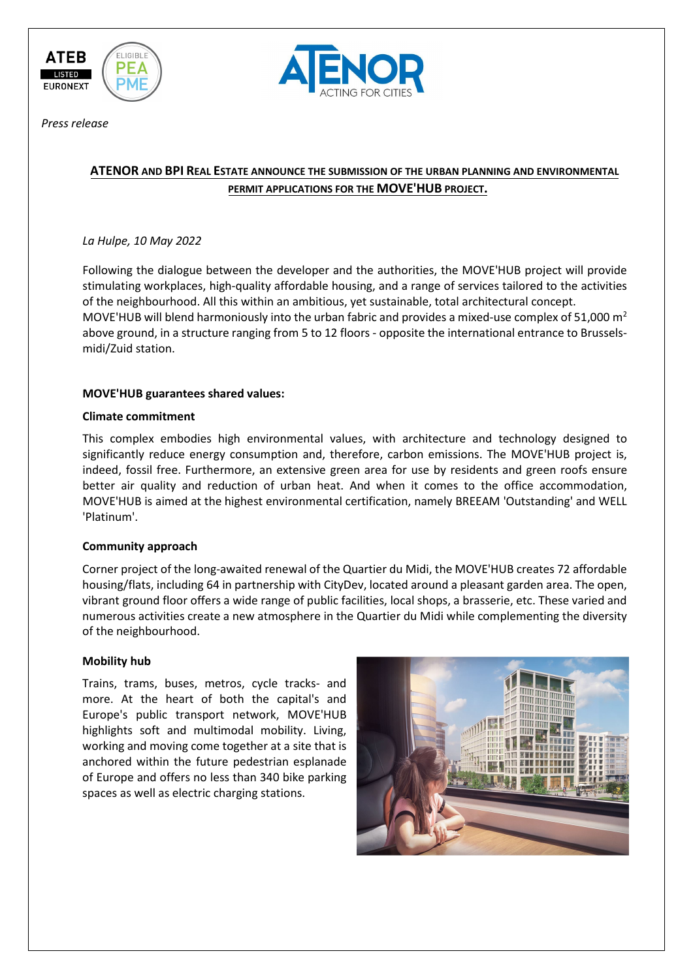



*Press release*

# **ATENOR AND BPI REAL ESTATE ANNOUNCE THE SUBMISSION OF THE URBAN PLANNING AND ENVIRONMENTAL PERMIT APPLICATIONS FOR THE MOVE'HUB PROJECT.**

### *La Hulpe, 10 May 2022*

Following the dialogue between the developer and the authorities, the MOVE'HUB project will provide stimulating workplaces, high-quality affordable housing, and a range of services tailored to the activities of the neighbourhood. All this within an ambitious, yet sustainable, total architectural concept. MOVE'HUB will blend harmoniously into the urban fabric and provides a mixed-use complex of 51,000 m<sup>2</sup> above ground, in a structure ranging from 5 to 12 floors - opposite the international entrance to Brusselsmidi/Zuid station.

## **MOVE'HUB guarantees shared values:**

### **Climate commitment**

This complex embodies high environmental values, with architecture and technology designed to significantly reduce energy consumption and, therefore, carbon emissions. The MOVE'HUB project is, indeed, fossil free. Furthermore, an extensive green area for use by residents and green roofs ensure better air quality and reduction of urban heat. And when it comes to the office accommodation, MOVE'HUB is aimed at the highest environmental certification, namely BREEAM 'Outstanding' and WELL 'Platinum'.

### **Community approach**

Corner project of the long-awaited renewal of the Quartier du Midi, the MOVE'HUB creates 72 affordable housing/flats, including 64 in partnership with CityDev, located around a pleasant garden area. The open, vibrant ground floor offers a wide range of public facilities, local shops, a brasserie, etc. These varied and numerous activities create a new atmosphere in the Quartier du Midi while complementing the diversity of the neighbourhood.

### **Mobility hub**

Trains, trams, buses, metros, cycle tracks- and more. At the heart of both the capital's and Europe's public transport network, MOVE'HUB highlights soft and multimodal mobility. Living, working and moving come together at a site that is anchored within the future pedestrian esplanade of Europe and offers no less than 340 bike parking spaces as well as electric charging stations.